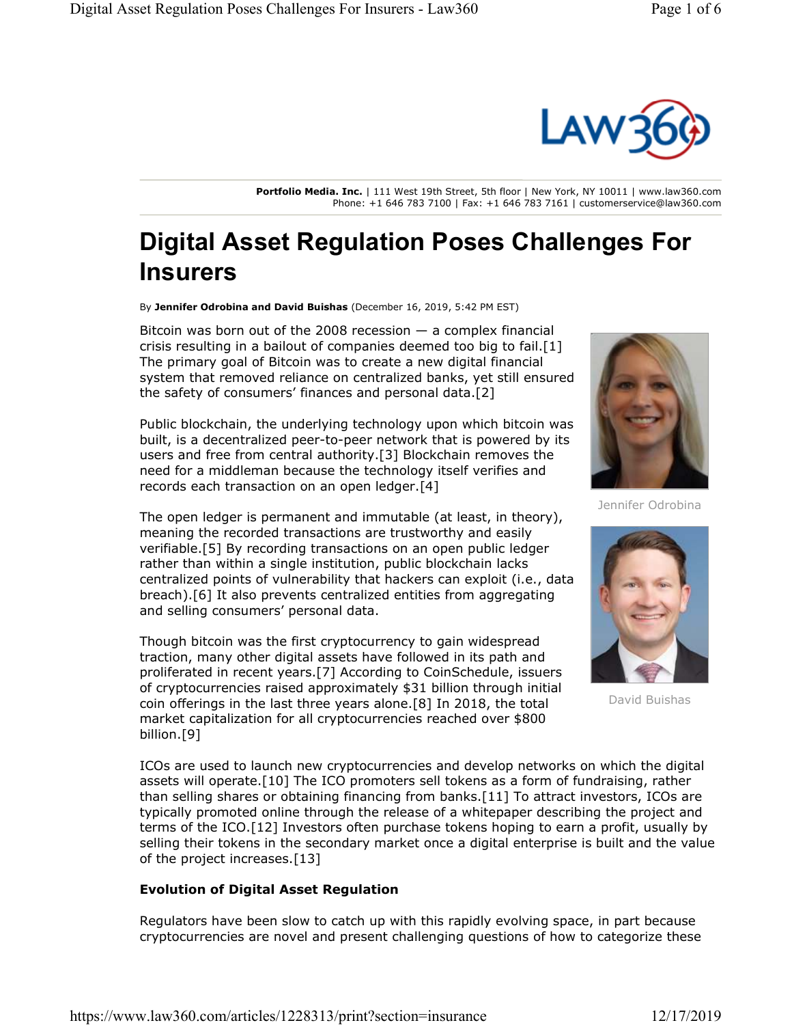

**Portfolio Media. Inc.** | 111 West 19th Street, 5th floor | New York, NY 10011 | www.law360.com Phone: +1 646 783 7100 | Fax: +1 646 783 7161 | customerservice@law360.com

## **Digital Asset Regulation Poses Challenges For Insurers**

By **Jennifer Odrobina and David Buishas** (December 16, 2019, 5:42 PM EST)

Bitcoin was born out of the 2008 recession  $-$  a complex financial crisis resulting in a bailout of companies deemed too big to fail.[1] The primary goal of Bitcoin was to create a new digital financial system that removed reliance on centralized banks, yet still ensured the safety of consumers' finances and personal data.[2]

Public blockchain, the underlying technology upon which bitcoin was built, is a decentralized peer-to-peer network that is powered by its users and free from central authority.[3] Blockchain removes the need for a middleman because the technology itself verifies and records each transaction on an open ledger.[4]

The open ledger is permanent and immutable (at least, in theory), meaning the recorded transactions are trustworthy and easily verifiable.[5] By recording transactions on an open public ledger rather than within a single institution, public blockchain lacks centralized points of vulnerability that hackers can exploit (i.e., data breach).[6] It also prevents centralized entities from aggregating and selling consumers' personal data.

Though bitcoin was the first cryptocurrency to gain widespread traction, many other digital assets have followed in its path and proliferated in recent years.[7] According to CoinSchedule, issuers of cryptocurrencies raised approximately \$31 billion through initial coin offerings in the last three years alone.[8] In 2018, the total market capitalization for all cryptocurrencies reached over \$800 billion.[9]



Jennifer Odrobina



David Buishas

ICOs are used to launch new cryptocurrencies and develop networks on which the digital assets will operate.[10] The ICO promoters sell tokens as a form of fundraising, rather than selling shares or obtaining financing from banks.[11] To attract investors, ICOs are typically promoted online through the release of a whitepaper describing the project and terms of the ICO.[12] Investors often purchase tokens hoping to earn a profit, usually by selling their tokens in the secondary market once a digital enterprise is built and the value of the project increases.[13]

## **Evolution of Digital Asset Regulation**

Regulators have been slow to catch up with this rapidly evolving space, in part because cryptocurrencies are novel and present challenging questions of how to categorize these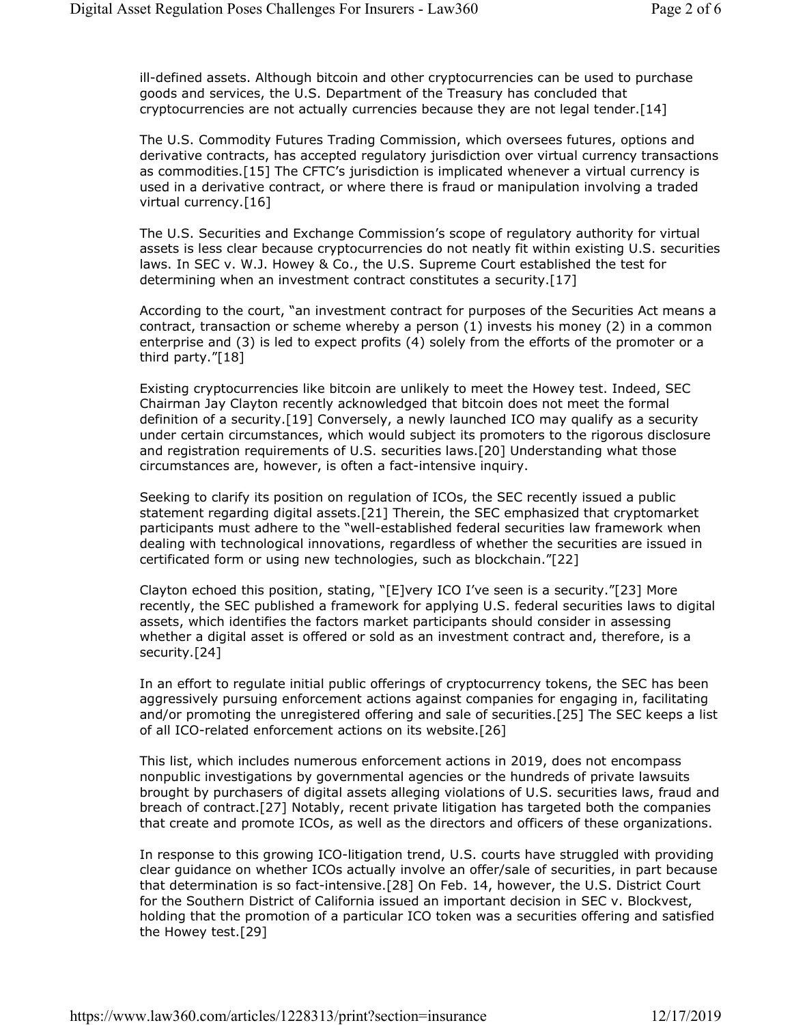ill-defined assets. Although bitcoin and other cryptocurrencies can be used to purchase goods and services, the U.S. Department of the Treasury has concluded that cryptocurrencies are not actually currencies because they are not legal tender.[14]

The U.S. Commodity Futures Trading Commission, which oversees futures, options and derivative contracts, has accepted regulatory jurisdiction over virtual currency transactions as commodities.[15] The CFTC's jurisdiction is implicated whenever a virtual currency is used in a derivative contract, or where there is fraud or manipulation involving a traded virtual currency.[16]

The U.S. Securities and Exchange Commission's scope of regulatory authority for virtual assets is less clear because cryptocurrencies do not neatly fit within existing U.S. securities laws. In SEC v. W.J. Howey & Co., the U.S. Supreme Court established the test for determining when an investment contract constitutes a security.[17]

According to the court, "an investment contract for purposes of the Securities Act means a contract, transaction or scheme whereby a person (1) invests his money (2) in a common enterprise and (3) is led to expect profits (4) solely from the efforts of the promoter or a third party."[18]

Existing cryptocurrencies like bitcoin are unlikely to meet the Howey test. Indeed, SEC Chairman Jay Clayton recently acknowledged that bitcoin does not meet the formal definition of a security.[19] Conversely, a newly launched ICO may qualify as a security under certain circumstances, which would subject its promoters to the rigorous disclosure and registration requirements of U.S. securities laws.[20] Understanding what those circumstances are, however, is often a fact-intensive inquiry.

Seeking to clarify its position on regulation of ICOs, the SEC recently issued a public statement regarding digital assets.[21] Therein, the SEC emphasized that cryptomarket participants must adhere to the "well-established federal securities law framework when dealing with technological innovations, regardless of whether the securities are issued in certificated form or using new technologies, such as blockchain."[22]

Clayton echoed this position, stating, "[E]very ICO I've seen is a security."[23] More recently, the SEC published a framework for applying U.S. federal securities laws to digital assets, which identifies the factors market participants should consider in assessing whether a digital asset is offered or sold as an investment contract and, therefore, is a security.[24]

In an effort to regulate initial public offerings of cryptocurrency tokens, the SEC has been aggressively pursuing enforcement actions against companies for engaging in, facilitating and/or promoting the unregistered offering and sale of securities.[25] The SEC keeps a list of all ICO-related enforcement actions on its website.[26]

This list, which includes numerous enforcement actions in 2019, does not encompass nonpublic investigations by governmental agencies or the hundreds of private lawsuits brought by purchasers of digital assets alleging violations of U.S. securities laws, fraud and breach of contract.[27] Notably, recent private litigation has targeted both the companies that create and promote ICOs, as well as the directors and officers of these organizations.

In response to this growing ICO-litigation trend, U.S. courts have struggled with providing clear guidance on whether ICOs actually involve an offer/sale of securities, in part because that determination is so fact-intensive.[28] On Feb. 14, however, the U.S. District Court for the Southern District of California issued an important decision in SEC v. Blockvest, holding that the promotion of a particular ICO token was a securities offering and satisfied the Howey test.[29]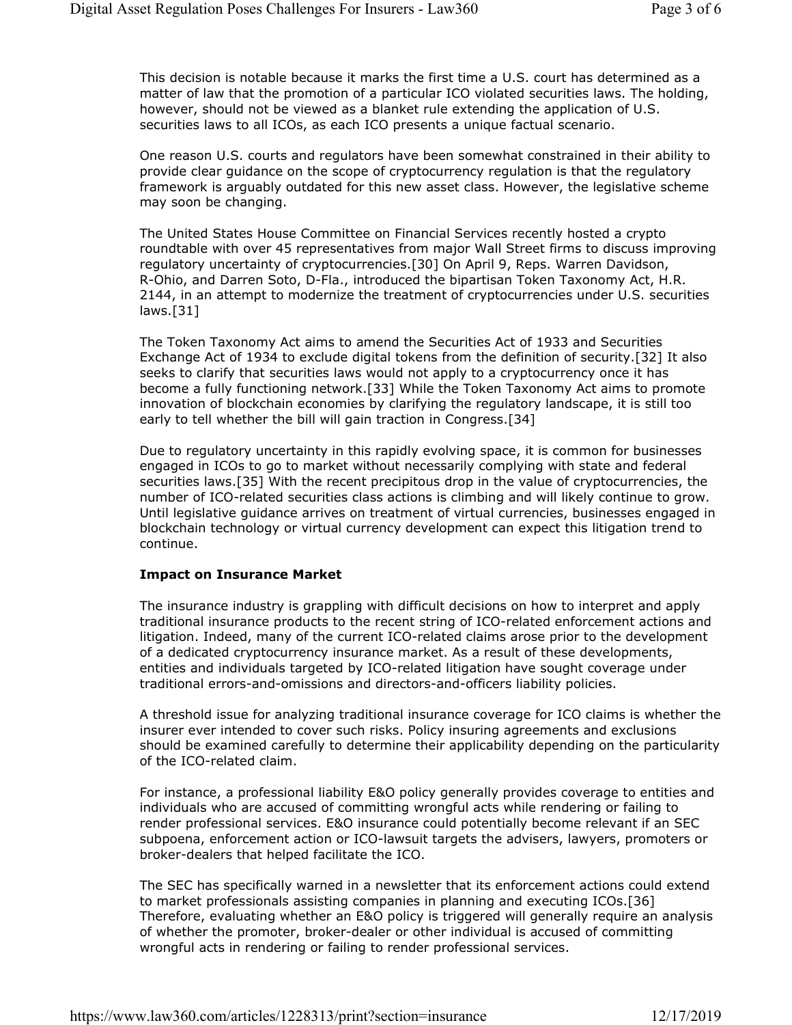This decision is notable because it marks the first time a U.S. court has determined as a matter of law that the promotion of a particular ICO violated securities laws. The holding, however, should not be viewed as a blanket rule extending the application of U.S. securities laws to all ICOs, as each ICO presents a unique factual scenario.

One reason U.S. courts and regulators have been somewhat constrained in their ability to provide clear guidance on the scope of cryptocurrency regulation is that the regulatory framework is arguably outdated for this new asset class. However, the legislative scheme may soon be changing.

The United States House Committee on Financial Services recently hosted a crypto roundtable with over 45 representatives from major Wall Street firms to discuss improving regulatory uncertainty of cryptocurrencies.[30] On April 9, Reps. Warren Davidson, R-Ohio, and Darren Soto, D-Fla., introduced the bipartisan Token Taxonomy Act, H.R. 2144, in an attempt to modernize the treatment of cryptocurrencies under U.S. securities laws.[31]

The Token Taxonomy Act aims to amend the Securities Act of 1933 and Securities Exchange Act of 1934 to exclude digital tokens from the definition of security.[32] It also seeks to clarify that securities laws would not apply to a cryptocurrency once it has become a fully functioning network.[33] While the Token Taxonomy Act aims to promote innovation of blockchain economies by clarifying the regulatory landscape, it is still too early to tell whether the bill will gain traction in Congress.[34]

Due to regulatory uncertainty in this rapidly evolving space, it is common for businesses engaged in ICOs to go to market without necessarily complying with state and federal securities laws.[35] With the recent precipitous drop in the value of cryptocurrencies, the number of ICO-related securities class actions is climbing and will likely continue to grow. Until legislative guidance arrives on treatment of virtual currencies, businesses engaged in blockchain technology or virtual currency development can expect this litigation trend to continue.

## **Impact on Insurance Market**

The insurance industry is grappling with difficult decisions on how to interpret and apply traditional insurance products to the recent string of ICO-related enforcement actions and litigation. Indeed, many of the current ICO-related claims arose prior to the development of a dedicated cryptocurrency insurance market. As a result of these developments, entities and individuals targeted by ICO-related litigation have sought coverage under traditional errors-and-omissions and directors-and-officers liability policies.

A threshold issue for analyzing traditional insurance coverage for ICO claims is whether the insurer ever intended to cover such risks. Policy insuring agreements and exclusions should be examined carefully to determine their applicability depending on the particularity of the ICO-related claim.

For instance, a professional liability E&O policy generally provides coverage to entities and individuals who are accused of committing wrongful acts while rendering or failing to render professional services. E&O insurance could potentially become relevant if an SEC subpoena, enforcement action or ICO-lawsuit targets the advisers, lawyers, promoters or broker-dealers that helped facilitate the ICO.

The SEC has specifically warned in a newsletter that its enforcement actions could extend to market professionals assisting companies in planning and executing ICOs.[36] Therefore, evaluating whether an E&O policy is triggered will generally require an analysis of whether the promoter, broker-dealer or other individual is accused of committing wrongful acts in rendering or failing to render professional services.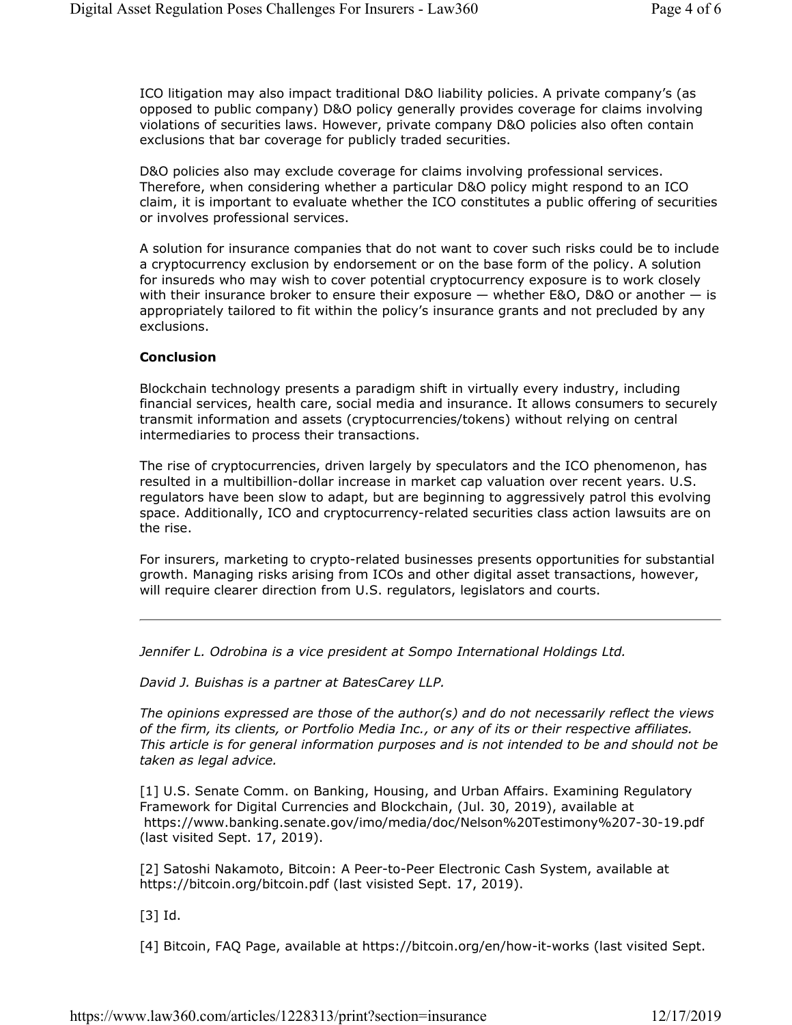ICO litigation may also impact traditional D&O liability policies. A private company's (as opposed to public company) D&O policy generally provides coverage for claims involving violations of securities laws. However, private company D&O policies also often contain exclusions that bar coverage for publicly traded securities.

D&O policies also may exclude coverage for claims involving professional services. Therefore, when considering whether a particular D&O policy might respond to an ICO claim, it is important to evaluate whether the ICO constitutes a public offering of securities or involves professional services.

A solution for insurance companies that do not want to cover such risks could be to include a cryptocurrency exclusion by endorsement or on the base form of the policy. A solution for insureds who may wish to cover potential cryptocurrency exposure is to work closely with their insurance broker to ensure their exposure  $-$  whether E&O, D&O or another  $-$  is appropriately tailored to fit within the policy's insurance grants and not precluded by any exclusions.

## **Conclusion**

Blockchain technology presents a paradigm shift in virtually every industry, including financial services, health care, social media and insurance. It allows consumers to securely transmit information and assets (cryptocurrencies/tokens) without relying on central intermediaries to process their transactions.

The rise of cryptocurrencies, driven largely by speculators and the ICO phenomenon, has resulted in a multibillion-dollar increase in market cap valuation over recent years. U.S. regulators have been slow to adapt, but are beginning to aggressively patrol this evolving space. Additionally, ICO and cryptocurrency-related securities class action lawsuits are on the rise.

For insurers, marketing to crypto-related businesses presents opportunities for substantial growth. Managing risks arising from ICOs and other digital asset transactions, however, will require clearer direction from U.S. regulators, legislators and courts.

*Jennifer L. Odrobina is a vice president at Sompo International Holdings Ltd.*

*David J. Buishas is a partner at BatesCarey LLP.*

*The opinions expressed are those of the author(s) and do not necessarily reflect the views of the firm, its clients, or Portfolio Media Inc., or any of its or their respective affiliates. This article is for general information purposes and is not intended to be and should not be taken as legal advice.*

[1] U.S. Senate Comm. on Banking, Housing, and Urban Affairs. Examining Regulatory Framework for Digital Currencies and Blockchain, (Jul. 30, 2019), available at https://www.banking.senate.gov/imo/media/doc/Nelson%20Testimony%207-30-19.pdf (last visited Sept. 17, 2019).

[2] Satoshi Nakamoto, Bitcoin: A Peer-to-Peer Electronic Cash System, available at https://bitcoin.org/bitcoin.pdf (last visisted Sept. 17, 2019).

[3] Id.

[4] Bitcoin, FAQ Page, available at https://bitcoin.org/en/how-it-works (last visited Sept.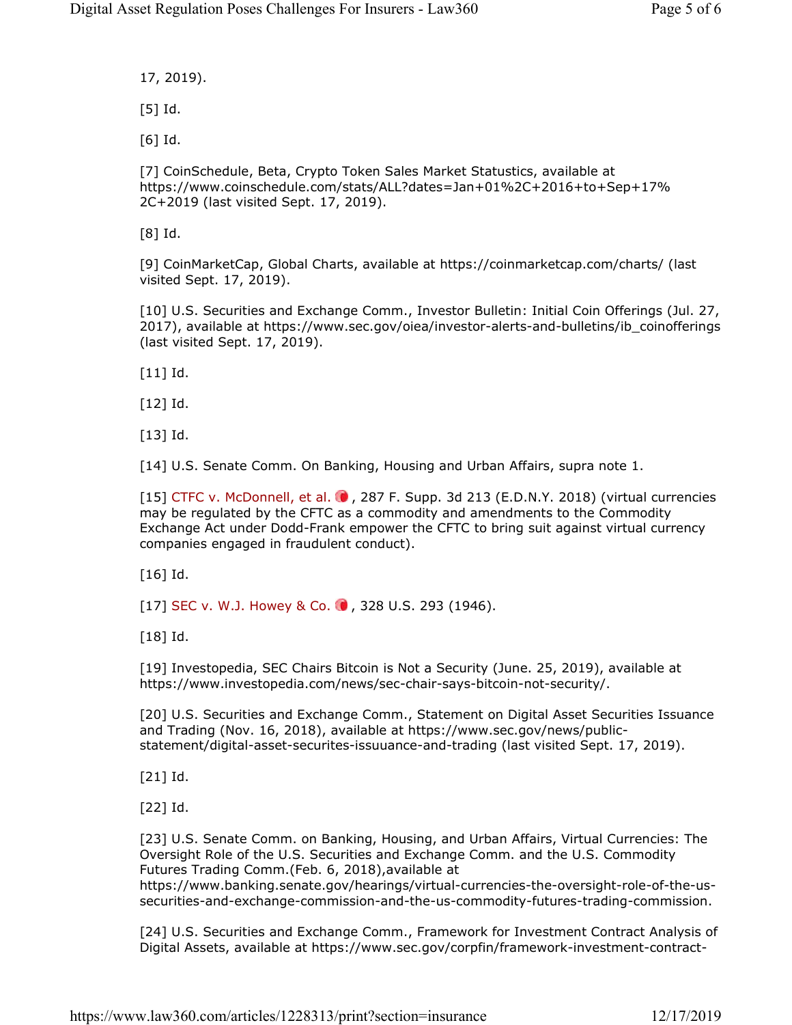17, 2019).

[5] Id.

[6] Id.

[7] CoinSchedule, Beta, Crypto Token Sales Market Statustics, available at https://www.coinschedule.com/stats/ALL?dates=Jan+01%2C+2016+to+Sep+17% 2C+2019 (last visited Sept. 17, 2019).

[8] Id.

[9] CoinMarketCap, Global Charts, available at https://coinmarketcap.com/charts/ (last visited Sept. 17, 2019).

[10] U.S. Securities and Exchange Comm., Investor Bulletin: Initial Coin Offerings (Jul. 27, 2017), available at https://www.sec.gov/oiea/investor-alerts-and-bulletins/ib\_coinofferings (last visited Sept. 17, 2019).

[11] Id.

[12] Id.

[13] Id.

[14] U.S. Senate Comm. On Banking, Housing and Urban Affairs, supra note 1.

[15] CTFC v. McDonnell, et al.  $\bullet$ , 287 F. Supp. 3d 213 (E.D.N.Y. 2018) (virtual currencies may be regulated by the CFTC as a commodity and amendments to the Commodity Exchange Act under Dodd-Frank empower the CFTC to bring suit against virtual currency companies engaged in fraudulent conduct).

[16] Id.

[17] SEC v. W.J. Howey & Co.  $\bullet$ , 328 U.S. 293 (1946).

[18] Id.

[19] Investopedia, SEC Chairs Bitcoin is Not a Security (June. 25, 2019), available at https://www.investopedia.com/news/sec-chair-says-bitcoin-not-security/.

[20] U.S. Securities and Exchange Comm., Statement on Digital Asset Securities Issuance and Trading (Nov. 16, 2018), available at https://www.sec.gov/news/publicstatement/digital-asset-securites-issuuance-and-trading (last visited Sept. 17, 2019).

[21] Id.

[22] Id.

[23] U.S. Senate Comm. on Banking, Housing, and Urban Affairs, Virtual Currencies: The Oversight Role of the U.S. Securities and Exchange Comm. and the U.S. Commodity Futures Trading Comm.(Feb. 6, 2018),available at

https://www.banking.senate.gov/hearings/virtual-currencies-the-oversight-role-of-the-ussecurities-and-exchange-commission-and-the-us-commodity-futures-trading-commission.

[24] U.S. Securities and Exchange Comm., Framework for Investment Contract Analysis of Digital Assets, available at https://www.sec.gov/corpfin/framework-investment-contract